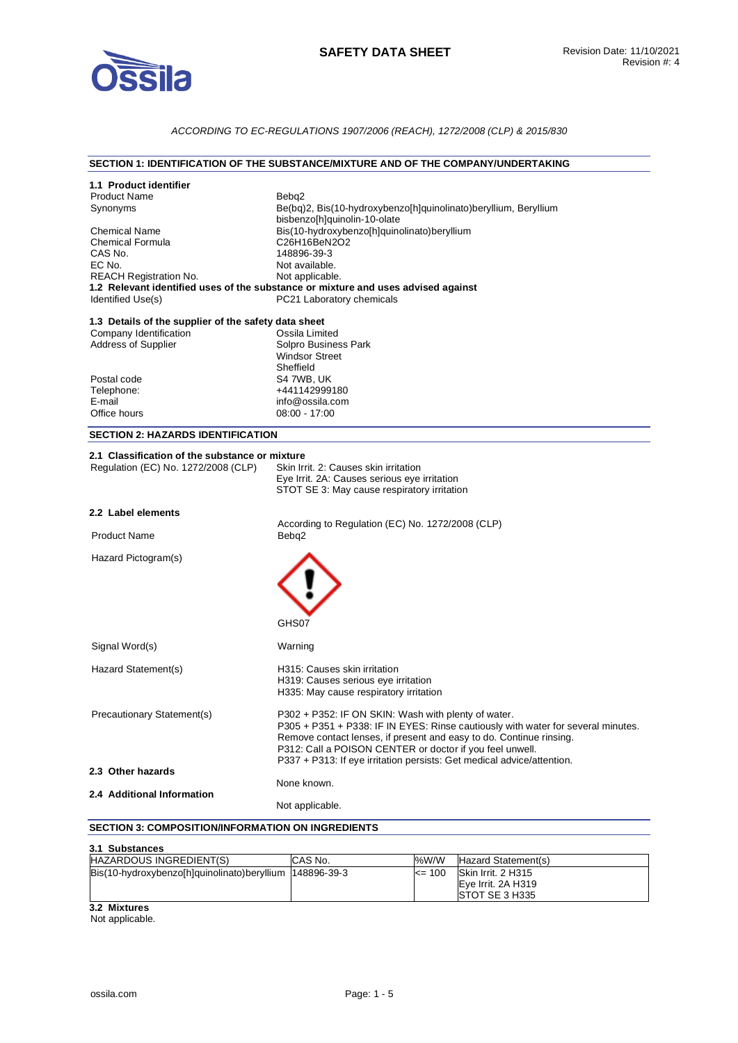

# *ACCORDING TO EC-REGULATIONS 1907/2006 (REACH), 1272/2008 (CLP) & 2015/830*

### **SECTION 1: IDENTIFICATION OF THE SUBSTANCE/MIXTURE AND OF THE COMPANY/UNDERTAKING**

| 1.1 Product identifier                                   |                                                                                                      |
|----------------------------------------------------------|------------------------------------------------------------------------------------------------------|
| <b>Product Name</b>                                      | Bebq2                                                                                                |
| Synonyms                                                 | Be(bq)2, Bis(10-hydroxybenzo[h]quinolinato)beryllium, Beryllium                                      |
|                                                          | bisbenzo[h]quinolin-10-olate                                                                         |
| <b>Chemical Name</b>                                     | Bis(10-hydroxybenzo[h]quinolinato)beryllium                                                          |
| <b>Chemical Formula</b>                                  | C26H16BeN2O2<br>148896-39-3                                                                          |
| CAS No.                                                  |                                                                                                      |
| EC No.                                                   | Not available.                                                                                       |
| <b>REACH Registration No.</b>                            | Not applicable.<br>1.2 Relevant identified uses of the substance or mixture and uses advised against |
| Identified Use(s)                                        | PC21 Laboratory chemicals                                                                            |
|                                                          |                                                                                                      |
| 1.3 Details of the supplier of the safety data sheet     |                                                                                                      |
| Company Identification                                   | Ossila Limited                                                                                       |
| <b>Address of Supplier</b>                               | Solpro Business Park                                                                                 |
|                                                          | <b>Windsor Street</b>                                                                                |
|                                                          | Sheffield                                                                                            |
| Postal code                                              | S4 7WB, UK                                                                                           |
| Telephone:                                               | +441142999180                                                                                        |
| E-mail                                                   | info@ossila.com                                                                                      |
| Office hours                                             | $08:00 - 17:00$                                                                                      |
| <b>SECTION 2: HAZARDS IDENTIFICATION</b>                 |                                                                                                      |
|                                                          |                                                                                                      |
| 2.1 Classification of the substance or mixture           |                                                                                                      |
| Regulation (EC) No. 1272/2008 (CLP)                      | Skin Irrit. 2: Causes skin irritation                                                                |
|                                                          | Eye Irrit. 2A: Causes serious eye irritation                                                         |
|                                                          | STOT SE 3: May cause respiratory irritation                                                          |
|                                                          |                                                                                                      |
| 2.2 Label elements                                       |                                                                                                      |
|                                                          | According to Regulation (EC) No. 1272/2008 (CLP)                                                     |
| <b>Product Name</b>                                      | Bebq2                                                                                                |
| Hazard Pictogram(s)                                      |                                                                                                      |
|                                                          |                                                                                                      |
|                                                          |                                                                                                      |
|                                                          |                                                                                                      |
|                                                          |                                                                                                      |
|                                                          |                                                                                                      |
|                                                          | GHS07                                                                                                |
|                                                          |                                                                                                      |
| Signal Word(s)                                           | Warning                                                                                              |
| Hazard Statement(s)                                      | H315: Causes skin irritation                                                                         |
|                                                          | H319: Causes serious eye irritation                                                                  |
|                                                          | H335: May cause respiratory irritation                                                               |
|                                                          |                                                                                                      |
| <b>Precautionary Statement(s)</b>                        | P302 + P352: IF ON SKIN: Wash with plenty of water.                                                  |
|                                                          | P305 + P351 + P338: IF IN EYES: Rinse cautiously with water for several minutes.                     |
|                                                          | Remove contact lenses, if present and easy to do. Continue rinsing.                                  |
|                                                          | P312: Call a POISON CENTER or doctor if you feel unwell.                                             |
|                                                          | P337 + P313: If eye irritation persists: Get medical advice/attention.                               |
| 2.3 Other hazards                                        |                                                                                                      |
|                                                          | None known.                                                                                          |
| 2.4 Additional Information                               |                                                                                                      |
|                                                          | Not applicable.                                                                                      |
| <b>SECTION 3: COMPOSITION/INFORMATION ON INGREDIENTS</b> |                                                                                                      |
|                                                          |                                                                                                      |

#### **3.1 Substances**

| <b>J.I JUDSLAILES</b>                                    |          |            |                        |
|----------------------------------------------------------|----------|------------|------------------------|
| HAZARDOUS INGREDIENT(S)                                  | ICAS No. | %W/W       | Hazard Statement(s)    |
| Bis(10-hydroxybenzo[h]quinolinato)beryllium  148896-39-3 |          | $\leq$ 100 | Skin Irrit. 2 H315     |
|                                                          |          |            | Eve Irrit. 2A H319     |
|                                                          |          |            | <b>ISTOT SE 3 H335</b> |
| 3.2 Mixtures                                             |          |            |                        |

Not applicable.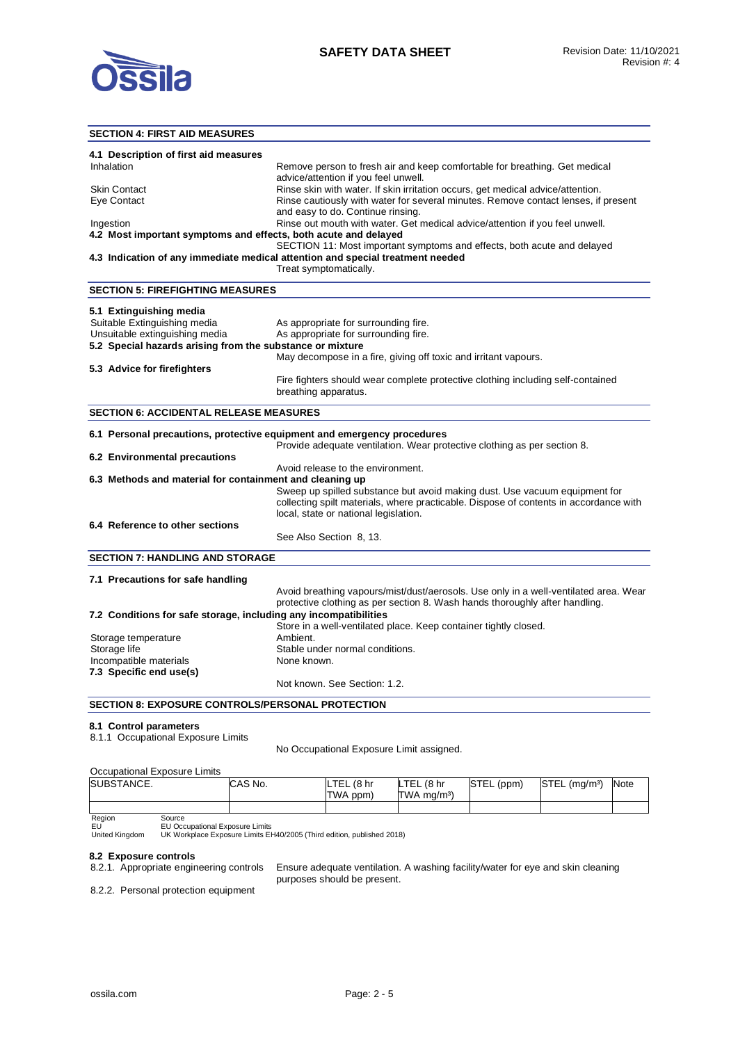

### **SECTION 4: FIRST AID MEASURES**

| 4.1 Description of first aid measures                                        |                                                                                                                                                                     |
|------------------------------------------------------------------------------|---------------------------------------------------------------------------------------------------------------------------------------------------------------------|
| Inhalation                                                                   | Remove person to fresh air and keep comfortable for breathing. Get medical                                                                                          |
|                                                                              | advice/attention if you feel unwell.                                                                                                                                |
| <b>Skin Contact</b>                                                          | Rinse skin with water. If skin irritation occurs, get medical advice/attention.                                                                                     |
| Eye Contact                                                                  | Rinse cautiously with water for several minutes. Remove contact lenses, if present                                                                                  |
|                                                                              | and easy to do. Continue rinsing.                                                                                                                                   |
| Ingestion<br>4.2 Most important symptoms and effects, both acute and delayed | Rinse out mouth with water. Get medical advice/attention if you feel unwell.                                                                                        |
|                                                                              | SECTION 11: Most important symptoms and effects, both acute and delayed                                                                                             |
|                                                                              | 4.3 Indication of any immediate medical attention and special treatment needed                                                                                      |
|                                                                              | Treat symptomatically.                                                                                                                                              |
|                                                                              |                                                                                                                                                                     |
| <b>SECTION 5: FIREFIGHTING MEASURES</b>                                      |                                                                                                                                                                     |
| 5.1 Extinguishing media                                                      |                                                                                                                                                                     |
| Suitable Extinguishing media                                                 | As appropriate for surrounding fire.                                                                                                                                |
| Unsuitable extinguishing media                                               | As appropriate for surrounding fire.                                                                                                                                |
| 5.2 Special hazards arising from the substance or mixture                    |                                                                                                                                                                     |
|                                                                              | May decompose in a fire, giving off toxic and irritant vapours.                                                                                                     |
| 5.3 Advice for firefighters                                                  |                                                                                                                                                                     |
|                                                                              | Fire fighters should wear complete protective clothing including self-contained                                                                                     |
|                                                                              | breathing apparatus.                                                                                                                                                |
| <b>SECTION 6: ACCIDENTAL RELEASE MEASURES</b>                                |                                                                                                                                                                     |
|                                                                              |                                                                                                                                                                     |
|                                                                              | 6.1 Personal precautions, protective equipment and emergency procedures                                                                                             |
|                                                                              | Provide adequate ventilation. Wear protective clothing as per section 8.                                                                                            |
| 6.2 Environmental precautions                                                |                                                                                                                                                                     |
|                                                                              | Avoid release to the environment.                                                                                                                                   |
| 6.3 Methods and material for containment and cleaning up                     |                                                                                                                                                                     |
|                                                                              | Sweep up spilled substance but avoid making dust. Use vacuum equipment for<br>collecting spilt materials, where practicable. Dispose of contents in accordance with |
|                                                                              | local, state or national legislation.                                                                                                                               |
| 6.4 Reference to other sections                                              |                                                                                                                                                                     |
|                                                                              | See Also Section 8, 13.                                                                                                                                             |
|                                                                              |                                                                                                                                                                     |
| <b>SECTION 7: HANDLING AND STORAGE</b>                                       |                                                                                                                                                                     |
| 7.1 Precautions for safe handling                                            |                                                                                                                                                                     |
|                                                                              | Avoid breathing vapours/mist/dust/aerosols. Use only in a well-ventilated area. Wear                                                                                |
|                                                                              | protective clothing as per section 8. Wash hands thoroughly after handling.                                                                                         |
| 7.2 Conditions for safe storage, including any incompatibilities             |                                                                                                                                                                     |
|                                                                              | Store in a well-ventilated place. Keep container tightly closed.                                                                                                    |
| Storage temperature                                                          | Ambient.                                                                                                                                                            |
| Storage life                                                                 | Stable under normal conditions.                                                                                                                                     |
| Incompatible materials                                                       | None known.                                                                                                                                                         |
| 7.3 Specific end use(s)                                                      |                                                                                                                                                                     |
|                                                                              | Not known. See Section: 1.2.                                                                                                                                        |
| <b>SECTION 8: EXPOSURE CONTROLS/PERSONAL PROTECTION</b>                      |                                                                                                                                                                     |
|                                                                              |                                                                                                                                                                     |
| 8.1 Control parameters                                                       |                                                                                                                                                                     |

8.1.1 Occupational Exposure Limits

No Occupational Exposure Limit assigned.

### Occupational Exposure Limits

| SUBSTANCE. |        | CAS No. | <b>LTEL</b><br>. (8 hr<br>TWA ppm) | LTEL<br>. (8 hr<br>$TWA$ ma/m <sup>3</sup> ) | <b>I</b> STEL<br>(ppm) | STEL (mg/m <sup>3)</sup> | Note |
|------------|--------|---------|------------------------------------|----------------------------------------------|------------------------|--------------------------|------|
|            |        |         |                                    |                                              |                        |                          |      |
| Region     | Source |         |                                    |                                              |                        |                          |      |

EU United Kingdom

EU Occupational Exposure Limits UK Workplace Exposure Limits EH40/2005 (Third edition, published 2018)

# **8.2 Exposure controls**

Ensure adequate ventilation. A washing facility/water for eye and skin cleaning purposes should be present.

8.2.2. Personal protection equipment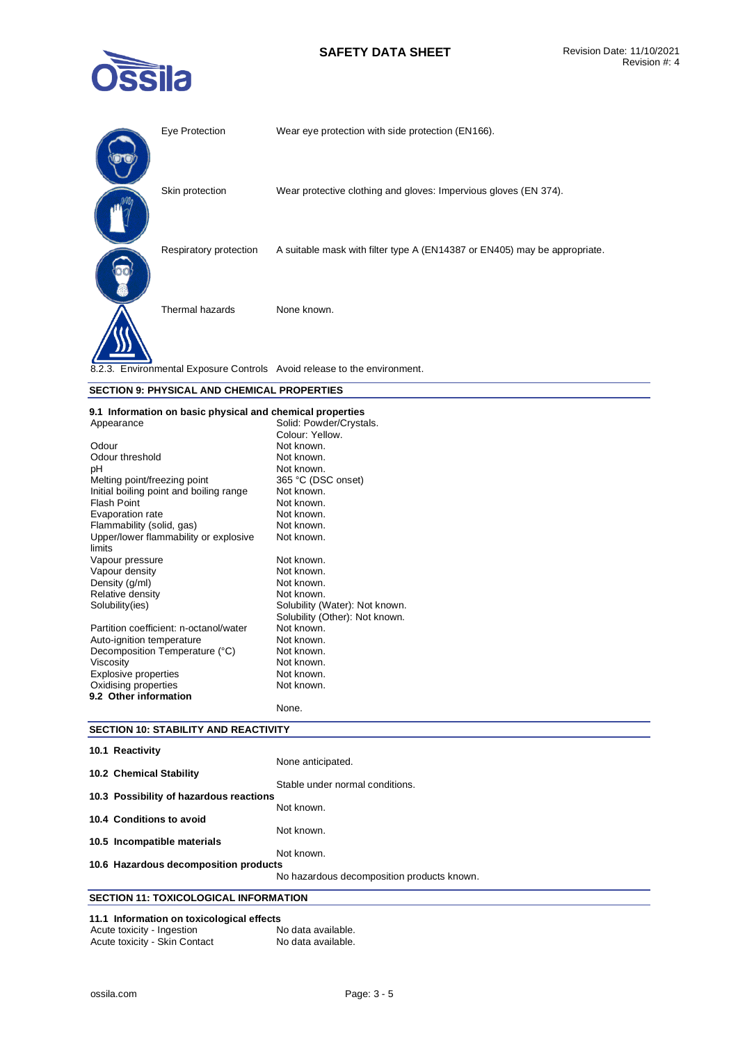# **SAFETY DATA SHEET** Revision Date: 11/10/2021



| Eye Protection         | Wear eye protection with side protection (EN166).                         |
|------------------------|---------------------------------------------------------------------------|
| Skin protection        | Wear protective clothing and gloves: Impervious gloves (EN 374).          |
| Respiratory protection | A suitable mask with filter type A (EN14387 or EN405) may be appropriate. |
| Thermal hazards        | None known.                                                               |
|                        | 8.2.3. Environmental Exposure Controls Avoid release to the environment.  |

# **SECTION 9: PHYSICAL AND CHEMICAL PROPERTIES**

# **9.1 Information on basic physical and chemical properties**

| Appearance                              | Solid: Powder/Crystals.        |
|-----------------------------------------|--------------------------------|
|                                         | Colour: Yellow.                |
| Odour                                   | Not known.                     |
| Odour threshold                         | Not known.                     |
| рH                                      | Not known.                     |
| Melting point/freezing point            | 365 °C (DSC onset)             |
| Initial boiling point and boiling range | Not known.                     |
| <b>Flash Point</b>                      | Not known.                     |
| Evaporation rate                        | Not known.                     |
| Flammability (solid, gas)               | Not known.                     |
| Upper/lower flammability or explosive   | Not known.                     |
| limits                                  |                                |
| Vapour pressure                         | Not known.                     |
| Vapour density                          | Not known.                     |
| Density (g/ml)                          | Not known.                     |
| Relative density                        | Not known.                     |
| Solubility(ies)                         | Solubility (Water): Not known. |
|                                         | Solubility (Other): Not known. |
| Partition coefficient: n-octanol/water  | Not known.                     |
| Auto-ignition temperature               | Not known.                     |
| Decomposition Temperature (°C)          | Not known.                     |
| Viscosity                               | Not known.                     |
| <b>Explosive properties</b>             | Not known.                     |
| Oxidising properties                    | Not known.                     |
| 9.2 Other information                   |                                |
|                                         | None.                          |

# **SECTION 10: STABILITY AND REACTIVITY**

| 10.1 Reactivity                         |                                            |
|-----------------------------------------|--------------------------------------------|
|                                         | None anticipated.                          |
| 10.2 Chemical Stability                 |                                            |
| 10.3 Possibility of hazardous reactions | Stable under normal conditions.            |
|                                         | Not known.                                 |
| 10.4 Conditions to avoid                |                                            |
|                                         | Not known.                                 |
| 10.5 Incompatible materials             |                                            |
|                                         | Not known.                                 |
| 10.6 Hazardous decomposition products   |                                            |
|                                         | No hazardous decomposition products known. |
| SECTION 11 · TOYICOLOGICAL INFORMATION  |                                            |

# **SECTION 11: TOXICOLOGICAL INFORMATION**

# **11.1 Information on toxicological effects**

| Acute toxicity - Ingestion    | No data available. |
|-------------------------------|--------------------|
| Acute toxicity - Skin Contact | No data available. |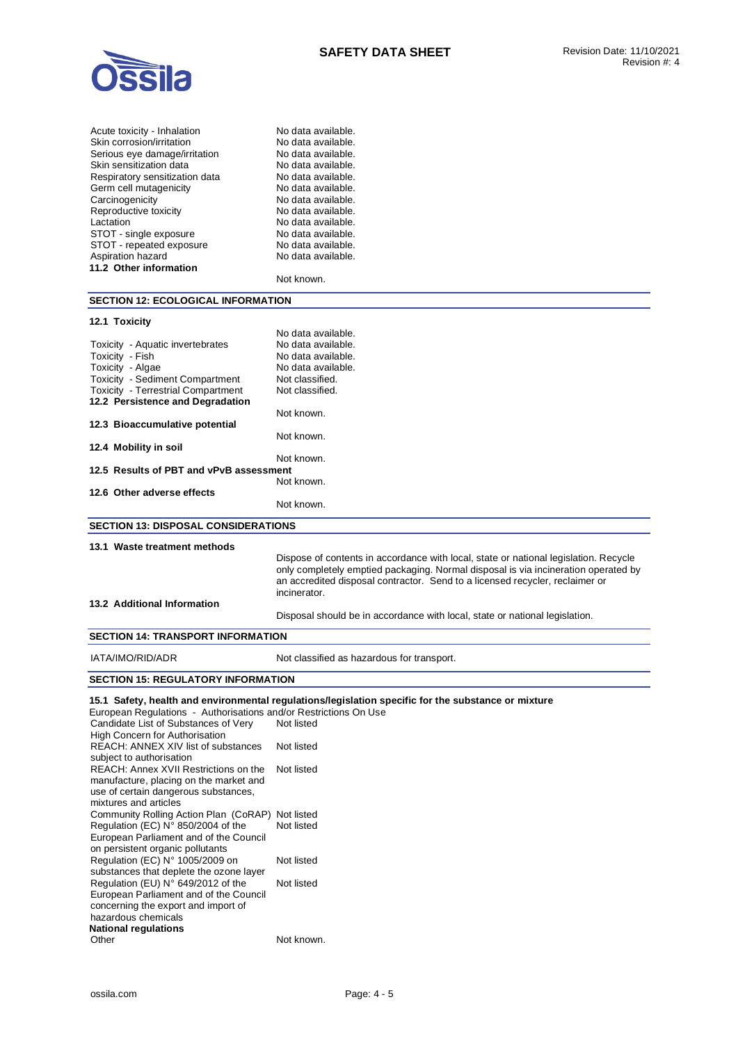

| No data available. |
|--------------------|
| No data available. |
| No data available. |
| No data available. |
| No data available. |
| No data available. |
| No data available. |
| No data available. |
| No data available. |
| No data available. |
| No data available. |
| No data available. |
|                    |
| Not known.         |
|                    |

### **SECTION 12: ECOLOGICAL INFORMATION**

### **12.1 Toxicity**

|                                            | No data available. |  |
|--------------------------------------------|--------------------|--|
| Toxicity - Aquatic invertebrates           | No data available. |  |
| Toxicity - Fish                            | No data available. |  |
| Toxicity - Algae                           | No data available. |  |
| <b>Toxicity - Sediment Compartment</b>     | Not classified.    |  |
| <b>Toxicity - Terrestrial Compartment</b>  | Not classified.    |  |
| 12.2 Persistence and Degradation           |                    |  |
|                                            | Not known.         |  |
| 12.3 Bioaccumulative potential             |                    |  |
|                                            | Not known.         |  |
| 12.4 Mobility in soil                      |                    |  |
|                                            | Not known.         |  |
| 12.5 Results of PBT and vPvB assessment    |                    |  |
|                                            | Not known.         |  |
| 12.6 Other adverse effects                 |                    |  |
|                                            | Not known.         |  |
| <b>SECTION 13: DISPOSAL CONSIDERATIONS</b> |                    |  |
|                                            |                    |  |

### **13.1 Waste treatment methods**

Dispose of contents in accordance with local, state or national legislation. Recycle only completely emptied packaging. Normal disposal is via incineration operated by an accredited disposal contractor. Send to a licensed recycler, reclaimer or incinerator.

### **13.2 Additional Information**

Disposal should be in accordance with local, state or national legislation.

### **SECTION 14: TRANSPORT INFORMATION**

IATA/IMO/RID/ADR Not classified as hazardous for transport.

### **SECTION 15: REGULATORY INFORMATION**

**15.1 Safety, health and environmental regulations/legislation specific for the substance or mixture** 

| European Regulations - Authorisations and/or Restrictions On Use |            |
|------------------------------------------------------------------|------------|
| Candidate List of Substances of Very                             | Not listed |
| <b>High Concern for Authorisation</b>                            |            |
| <b>REACH: ANNEX XIV list of substances</b>                       | Not listed |
| subject to authorisation                                         |            |
| REACH: Annex XVII Restrictions on the                            | Not listed |
| manufacture, placing on the market and                           |            |
| use of certain dangerous substances,                             |            |
| mixtures and articles                                            |            |
| Community Rolling Action Plan (CoRAP) Not listed                 |            |
| Regulation (EC) $N^{\circ}$ 850/2004 of the                      | Not listed |
| European Parliament and of the Council                           |            |
| on persistent organic pollutants                                 |            |
| Regulation (EC) N° 1005/2009 on                                  | Not listed |
| substances that deplete the ozone layer                          |            |
| Regulation (EU) N° 649/2012 of the                               | Not listed |
| European Parliament and of the Council                           |            |
| concerning the export and import of                              |            |
| hazardous chemicals                                              |            |
| National regulations                                             |            |
| Other                                                            | Not known. |